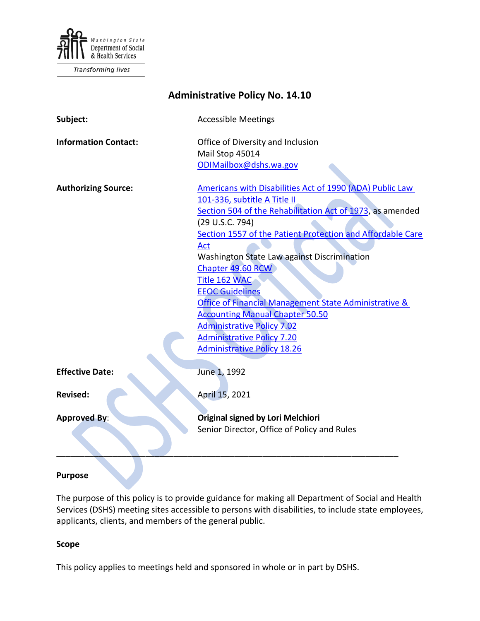

**Transforming lives** 

| <b>Administrative Policy No. 14.10</b> |                                                            |
|----------------------------------------|------------------------------------------------------------|
| Subject:                               | <b>Accessible Meetings</b>                                 |
| <b>Information Contact:</b>            | Office of Diversity and Inclusion                          |
|                                        | Mail Stop 45014                                            |
|                                        | ODIMailbox@dshs.wa.gov                                     |
| <b>Authorizing Source:</b>             | Americans with Disabilities Act of 1990 (ADA) Public Law   |
|                                        | 101-336, subtitle A Title II                               |
|                                        | Section 504 of the Rehabilitation Act of 1973, as amended  |
|                                        | (29 U.S.C. 794)                                            |
|                                        | Section 1557 of the Patient Protection and Affordable Care |
|                                        | Act                                                        |
|                                        | Washington State Law against Discrimination                |
|                                        | Chapter 49.60 RCW                                          |
|                                        | Title 162 WAC                                              |
|                                        | <b>EEOC Guidelines</b>                                     |
|                                        | Office of Financial Management State Administrative &      |
|                                        | <b>Accounting Manual Chapter 50.50</b>                     |
|                                        | <b>Administrative Policy 7.02</b>                          |
|                                        | <b>Administrative Policy 7.20</b>                          |
|                                        | <b>Administrative Policy 18.26</b>                         |
| <b>Effective Date:</b>                 | June 1, 1992                                               |
|                                        |                                                            |
| <b>Revised:</b>                        | April 15, 2021                                             |
| <b>Approved By:</b>                    | <b>Original signed by Lori Melchiori</b>                   |
|                                        | Senior Director, Office of Policy and Rules                |
|                                        |                                                            |

## **Purpose**

The purpose of this policy is to provide guidance for making all Department of Social and Health Services (DSHS) meeting sites accessible to persons with disabilities, to include state employees, applicants, clients, and members of the general public.

### **Scope**

This policy applies to meetings held and sponsored in whole or in part by DSHS.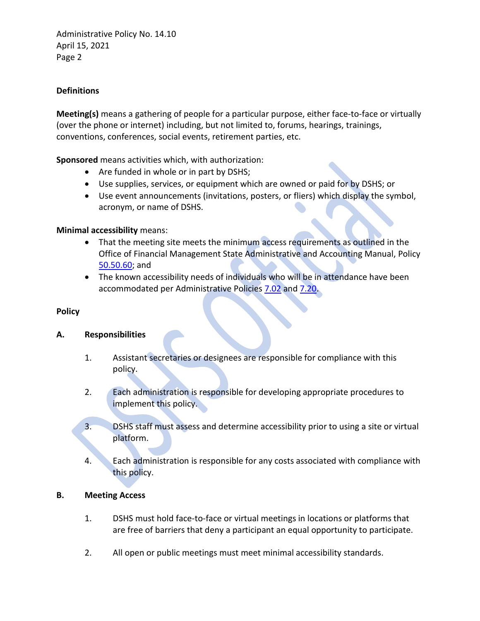Administrative Policy No. 14.10 April 15, 2021 Page 2

## **Definitions**

**Meeting(s)** means a gathering of people for a particular purpose, either face-to-face or virtually (over the phone or internet) including, but not limited to, forums, hearings, trainings, conventions, conferences, social events, retirement parties, etc.

**Sponsored** means activities which, with authorization:

- Are funded in whole or in part by DSHS;
- Use supplies, services, or equipment which are owned or paid for by DSHS; or
- Use event announcements (invitations, posters, or fliers) which display the symbol, acronym, or name of DSHS.

## **Minimal accessibility** means:

- That the meeting site meets the minimum access requirements as outlined in the Office of Financial Management State Administrative and Accounting Manual, Policy [50.50.60;](http://www.ofm.wa.gov/policy/50.50.htm) and
- The known accessibility needs of individuals who will be in attendance have been accommodated per Administrative Policies [7.02](http://one.dshs.wa.lcl/Policies/Administrative/DSHS-AP-07-02.pdf) and [7.20.](http://one.dshs.wa.lcl/Policies/Administrative/DSHS-AP-07-20.pdf)

## **Policy**

## **A. Responsibilities**

- 1. Assistant secretaries or designees are responsible for compliance with this policy.
- 2. Each administration is responsible for developing appropriate procedures to implement this policy.
- 3. DSHS staff must assess and determine accessibility prior to using a site or virtual platform.
- 4. Each administration is responsible for any costs associated with compliance with this policy.

## **B. Meeting Access**

- 1. DSHS must hold face-to-face or virtual meetings in locations or platforms that are free of barriers that deny a participant an equal opportunity to participate.
- 2. All open or public meetings must meet minimal accessibility standards.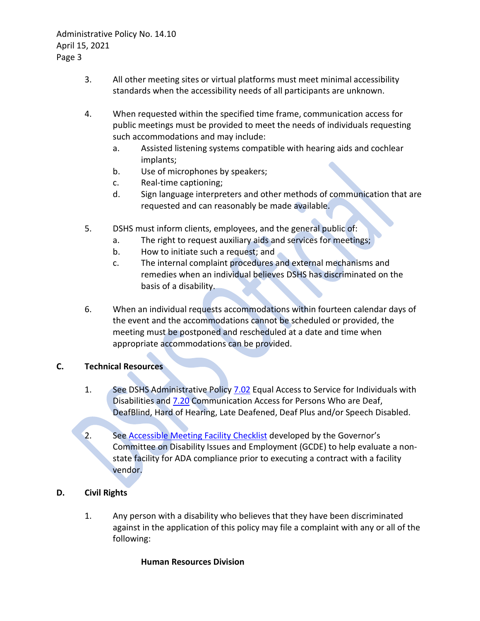Administrative Policy No. 14.10 April 15, 2021 Page 3

- 3. All other meeting sites or virtual platforms must meet minimal accessibility standards when the accessibility needs of all participants are unknown.
- 4. When requested within the specified time frame, communication access for public meetings must be provided to meet the needs of individuals requesting such accommodations and may include:
	- a. Assisted listening systems compatible with hearing aids and cochlear implants;
	- b. Use of microphones by speakers;
	- c. Real-time captioning;
	- d. Sign language interpreters and other methods of communication that are requested and can reasonably be made available.
- 5. DSHS must inform clients, employees, and the general public of:
	- a. The right to request auxiliary aids and services for meetings;
	- b. How to initiate such a request; and
	- c. The internal complaint procedures and external mechanisms and remedies when an individual believes DSHS has discriminated on the basis of a disability.
- 6. When an individual requests accommodations within fourteen calendar days of the event and the accommodations cannot be scheduled or provided, the meeting must be postponed and rescheduled at a date and time when appropriate accommodations can be provided.

# **C. Technical Resources**

- 1. See DSHS Administrative Policy [7.02](http://one.dshs.wa.lcl/Policies/Administrative/DSHS-AP-07-02.pdf) Equal Access to Service for Individuals with Disabilities and [7.20](http://one.dshs.wa.lcl/Policies/Administrative/DSHS-AP-07-20.pdf) Communication Access for Persons Who are Deaf, DeafBlind, Hard of Hearing, Late Deafened, Deaf Plus and/or Speech Disabled.
- 2. See [Accessible Meeting Facility Checklist](http://www.ofm.wa.gov/policy/GCDEchecklist.doc) developed by the Governor's Committee on Disability Issues and Employment (GCDE) to help evaluate a nonstate facility for ADA compliance prior to executing a contract with a facility vendor.

# **D. Civil Rights**

1. Any person with a disability who believes that they have been discriminated against in the application of this policy may file a complaint with any or all of the following:

## **Human Resources Division**